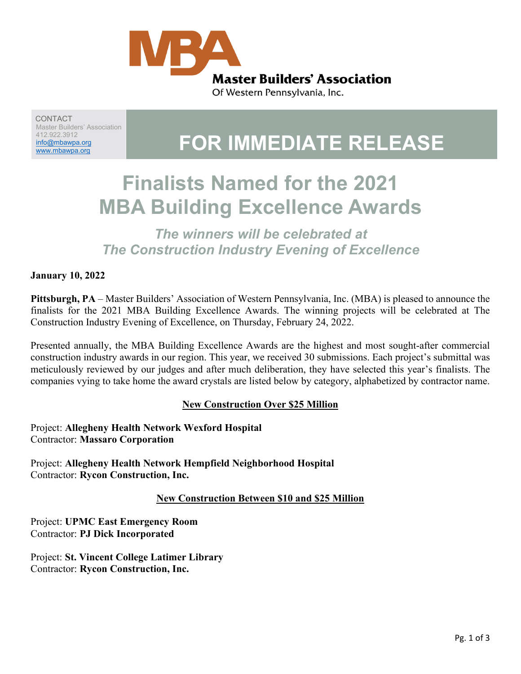

CONTACT Master Builders' Association 412.922.3912 [info@mbawpa.org](mailto:info@mbawpa.org)

# 142,922,3912<br><u>info@mbawpa.org</u> | **FOR IMMEDIATE RELEASE**

# **Finalists Named for the 2021 MBA Building Excellence Awards**

*The winners will be celebrated at The Construction Industry Evening of Excellence*

#### **January 10, 2022**

**Pittsburgh, PA** – Master Builders' Association of Western Pennsylvania, Inc. (MBA) is pleased to announce the finalists for the 2021 MBA Building Excellence Awards. The winning projects will be celebrated at The Construction Industry Evening of Excellence, on Thursday, February 24, 2022.

Presented annually, the MBA Building Excellence Awards are the highest and most sought-after commercial construction industry awards in our region. This year, we received 30 submissions. Each project's submittal was meticulously reviewed by our judges and after much deliberation, they have selected this year's finalists. The companies vying to take home the award crystals are listed below by category, alphabetized by contractor name.

#### **New Construction Over \$25 Million**

Project: **Allegheny Health Network Wexford Hospital** Contractor: **Massaro Corporation**

Project: **Allegheny Health Network Hempfield Neighborhood Hospital** Contractor: **Rycon Construction, Inc.**

#### **New Construction Between \$10 and \$25 Million**

Project: **UPMC East Emergency Room** Contractor: **PJ Dick Incorporated**

Project: **St. Vincent College Latimer Library** Contractor: **Rycon Construction, Inc.**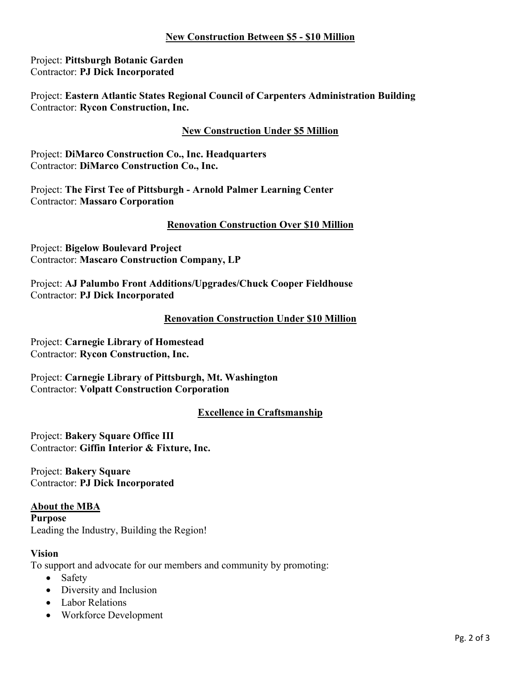#### **New Construction Between \$5 - \$10 Million**

Project: **Pittsburgh Botanic Garden** Contractor: **PJ Dick Incorporated**

Project: **Eastern Atlantic States Regional Council of Carpenters Administration Building** Contractor: **Rycon Construction, Inc.**

### **New Construction Under \$5 Million**

Project: **DiMarco Construction Co., Inc. Headquarters** Contractor: **DiMarco Construction Co., Inc.**

Project: **The First Tee of Pittsburgh - Arnold Palmer Learning Center** Contractor: **Massaro Corporation**

#### **Renovation Construction Over \$10 Million**

Project: **Bigelow Boulevard Project** Contractor: **Mascaro Construction Company, LP**

Project: **AJ Palumbo Front Additions/Upgrades/Chuck Cooper Fieldhouse** Contractor: **PJ Dick Incorporated**

#### **Renovation Construction Under \$10 Million**

Project: **Carnegie Library of Homestead** Contractor: **Rycon Construction, Inc.**

Project: **Carnegie Library of Pittsburgh, Mt. Washington** Contractor: **Volpatt Construction Corporation**

## **Excellence in Craftsmanship**

Project: **Bakery Square Office III** Contractor: **Giffin Interior & Fixture, Inc.**

Project: **Bakery Square** Contractor: **PJ Dick Incorporated**

#### **About the MBA**

**Purpose** Leading the Industry, Building the Region!

#### **Vision**

To support and advocate for our members and community by promoting:

- Safety
- Diversity and Inclusion
- Labor Relations
- Workforce Development